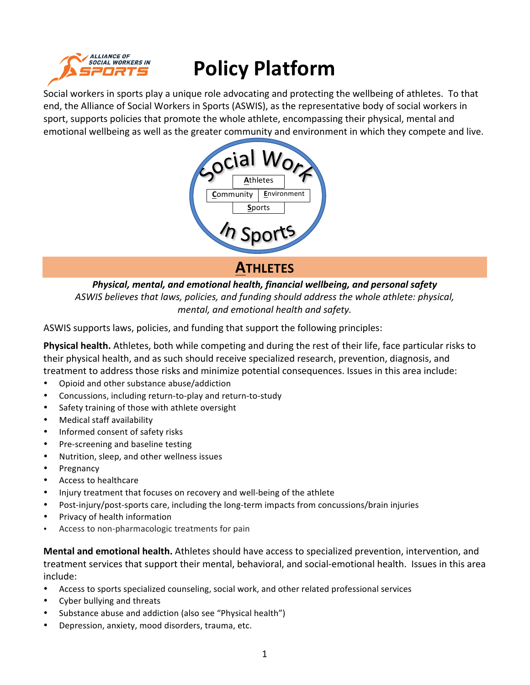

# **Policy Platform**

Social workers in sports play a unique role advocating and protecting the wellbeing of athletes. To that end, the Alliance of Social Workers in Sports (ASWIS), as the representative body of social workers in sport, supports policies that promote the whole athlete, encompassing their physical, mental and emotional wellbeing as well as the greater community and environment in which they compete and live.



## **ATHLETES**

*Physical, mental, and emotional health, financial wellbeing, and personal safety ASWIS* believes that laws, policies, and funding should address the whole athlete: physical, *mental, and emotional health and safety.* 

ASWIS supports laws, policies, and funding that support the following principles:

**Physical health.** Athletes, both while competing and during the rest of their life, face particular risks to their physical health, and as such should receive specialized research, prevention, diagnosis, and treatment to address those risks and minimize potential consequences. Issues in this area include:

- Opioid and other substance abuse/addiction
- Concussions, including return-to-play and return-to-study
- Safety training of those with athlete oversight
- Medical staff availability
- Informed consent of safety risks
- Pre-screening and baseline testing
- Nutrition, sleep, and other wellness issues
- **Pregnancy**
- Access to healthcare
- Injury treatment that focuses on recovery and well-being of the athlete
- Post-injury/post-sports care, including the long-term impacts from concussions/brain injuries
- Privacy of health information
- Access to non-pharmacologic treatments for pain

**Mental and emotional health.** Athletes should have access to specialized prevention, intervention, and treatment services that support their mental, behavioral, and social-emotional health. Issues in this area include:

- Access to sports specialized counseling, social work, and other related professional services
- Cyber bullying and threats
- Substance abuse and addiction (also see "Physical health")
- Depression, anxiety, mood disorders, trauma, etc.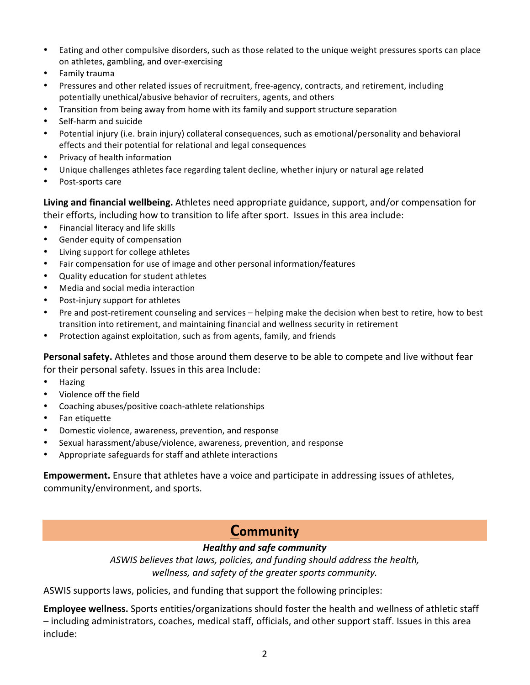- Eating and other compulsive disorders, such as those related to the unique weight pressures sports can place on athletes, gambling, and over-exercising
- Family trauma
- Pressures and other related issues of recruitment, free-agency, contracts, and retirement, including potentially unethical/abusive behavior of recruiters, agents, and others
- Transition from being away from home with its family and support structure separation
- Self-harm and suicide
- Potential injury (i.e. brain injury) collateral consequences, such as emotional/personality and behavioral effects and their potential for relational and legal consequences
- Privacy of health information
- Unique challenges athletes face regarding talent decline, whether injury or natural age related
- Post-sports care

**Living and financial wellbeing.** Athletes need appropriate guidance, support, and/or compensation for their efforts, including how to transition to life after sport. Issues in this area include:

- Financial literacy and life skills
- Gender equity of compensation
- Living support for college athletes
- Fair compensation for use of image and other personal information/features
- Quality education for student athletes
- Media and social media interaction
- Post-injury support for athletes
- Pre and post-retirement counseling and services helping make the decision when best to retire, how to best transition into retirement, and maintaining financial and wellness security in retirement
- Protection against exploitation, such as from agents, family, and friends

Personal safety. Athletes and those around them deserve to be able to compete and live without fear for their personal safety. Issues in this area Include:

- Hazing
- Violence off the field
- Coaching abuses/positive coach-athlete relationships
- Fan etiquette
- Domestic violence, awareness, prevention, and response
- Sexual harassment/abuse/violence, awareness, prevention, and response
- Appropriate safeguards for staff and athlete interactions

**Empowerment.** Ensure that athletes have a voice and participate in addressing issues of athletes, community/environment, and sports.

# **Community**

## *Healthy and safe community*

ASWIS believes that laws, policies, and funding should address the health, wellness, and safety of the greater sports community.

ASWIS supports laws, policies, and funding that support the following principles:

**Employee wellness.** Sports entities/organizations should foster the health and wellness of athletic staff  $-$  including administrators, coaches, medical staff, officials, and other support staff. Issues in this area include: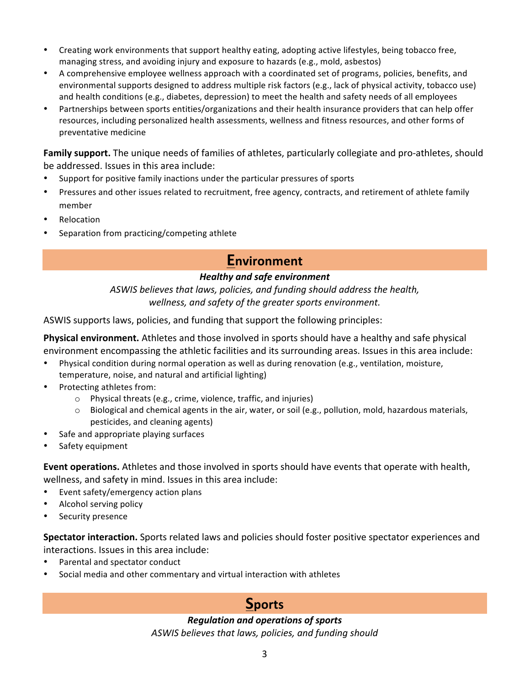- Creating work environments that support healthy eating, adopting active lifestyles, being tobacco free, managing stress, and avoiding injury and exposure to hazards (e.g., mold, asbestos)
- A comprehensive employee wellness approach with a coordinated set of programs, policies, benefits, and environmental supports designed to address multiple risk factors (e.g., lack of physical activity, tobacco use) and health conditions (e.g., diabetes, depression) to meet the health and safety needs of all employees
- Partnerships between sports entities/organizations and their health insurance providers that can help offer resources, including personalized health assessments, wellness and fitness resources, and other forms of preventative medicine

**Family support.** The unique needs of families of athletes, particularly collegiate and pro-athletes, should be addressed. Issues in this area include:

- Support for positive family inactions under the particular pressures of sports
- Pressures and other issues related to recruitment, free agency, contracts, and retirement of athlete family member
- **Relocation**
- Separation from practicing/competing athlete

## **Environment**

#### *Healthy and safe environment*

ASWIS believes that laws, policies, and funding should address the health, wellness, and safety of the greater sports environment.

ASWIS supports laws, policies, and funding that support the following principles:

**Physical environment.** Athletes and those involved in sports should have a healthy and safe physical environment encompassing the athletic facilities and its surrounding areas. Issues in this area include:

- Physical condition during normal operation as well as during renovation (e.g., ventilation, moisture, temperature, noise, and natural and artificial lighting)
- Protecting athletes from:
	- $\circ$  Physical threats (e.g., crime, violence, traffic, and injuries)
	- $\circ$  Biological and chemical agents in the air, water, or soil (e.g., pollution, mold, hazardous materials, pesticides, and cleaning agents)
- Safe and appropriate playing surfaces
- Safety equipment

**Event operations.** Athletes and those involved in sports should have events that operate with health, wellness, and safety in mind. Issues in this area include:

- Event safety/emergency action plans
- Alcohol serving policy
- Security presence

**Spectator interaction.** Sports related laws and policies should foster positive spectator experiences and interactions. Issues in this area include:

- Parental and spectator conduct
- Social media and other commentary and virtual interaction with athletes

# **Sports**

#### *Regulation and operations of sports*

ASWIS believes that laws, policies, and funding should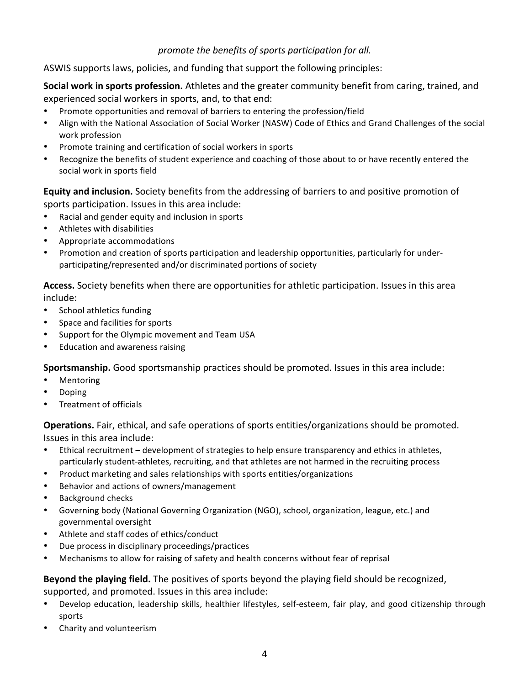## promote the benefits of sports participation for all.

ASWIS supports laws, policies, and funding that support the following principles:

**Social work in sports profession.** Athletes and the greater community benefit from caring, trained, and experienced social workers in sports, and, to that end:

- Promote opportunities and removal of barriers to entering the profession/field
- Align with the National Association of Social Worker (NASW) Code of Ethics and Grand Challenges of the social work profession
- Promote training and certification of social workers in sports
- Recognize the benefits of student experience and coaching of those about to or have recently entered the social work in sports field

**Equity and inclusion.** Society benefits from the addressing of barriers to and positive promotion of sports participation. Issues in this area include:

- Racial and gender equity and inclusion in sports
- Athletes with disabilities
- Appropriate accommodations
- Promotion and creation of sports participation and leadership opportunities, particularly for underparticipating/represented and/or discriminated portions of society

Access. Society benefits when there are opportunities for athletic participation. Issues in this area include:

- School athletics funding
- Space and facilities for sports
- Support for the Olympic movement and Team USA
- Education and awareness raising

**Sportsmanship.** Good sportsmanship practices should be promoted. Issues in this area include:

- Mentoring
- Doping
- Treatment of officials

**Operations.** Fair, ethical, and safe operations of sports entities/organizations should be promoted. Issues in this area include:

- Ethical recruitment development of strategies to help ensure transparency and ethics in athletes, particularly student-athletes, recruiting, and that athletes are not harmed in the recruiting process
- Product marketing and sales relationships with sports entities/organizations
- Behavior and actions of owners/management
- Background checks
- Governing body (National Governing Organization (NGO), school, organization, league, etc.) and governmental oversight
- Athlete and staff codes of ethics/conduct
- Due process in disciplinary proceedings/practices
- Mechanisms to allow for raising of safety and health concerns without fear of reprisal

**Beyond the playing field.** The positives of sports beyond the playing field should be recognized, supported, and promoted. Issues in this area include:

- Develop education, leadership skills, healthier lifestyles, self-esteem, fair play, and good citizenship through sports
- Charity and volunteerism